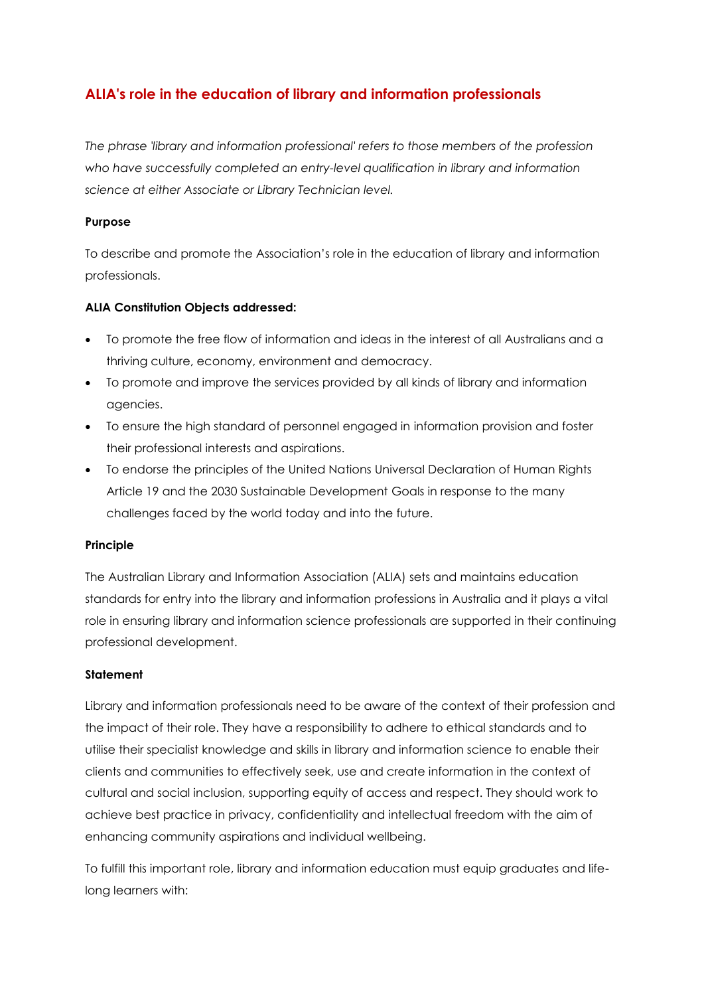# **ALIA's role in the education of library and information professionals**

*The phrase 'library and information professional' refers to those members of the profession who have successfully completed an entry-level qualification in library and information science at either Associate or Library Technician level.*

## **Purpose**

To describe and promote the Association's role in the education of library and information professionals.

## **ALIA Constitution Objects addressed:**

- To promote the free flow of information and ideas in the interest of all Australians and a thriving culture, economy, environment and democracy.
- To promote and improve the services provided by all kinds of library and information agencies.
- To ensure the high standard of personnel engaged in information provision and foster their professional interests and aspirations.
- To endorse the principles of the United Nations Universal Declaration of Human Rights Article 19 and the 2030 Sustainable Development Goals in response to the many challenges faced by the world today and into the future.

### **Principle**

The Australian Library and Information Association (ALIA) sets and maintains education standards for entry into the library and information professions in Australia and it plays a vital role in ensuring library and information science professionals are supported in their continuing professional development.

### **Statement**

Library and information professionals need to be aware of the context of their profession and the impact of their role. They have a responsibility to adhere to ethical standards and to utilise their specialist knowledge and skills in library and information science to enable their clients and communities to effectively seek, use and create information in the context of cultural and social inclusion, supporting equity of access and respect. They should work to achieve best practice in privacy, confidentiality and intellectual freedom with the aim of enhancing community aspirations and individual wellbeing.

To fulfill this important role, library and information education must equip graduates and lifelong learners with: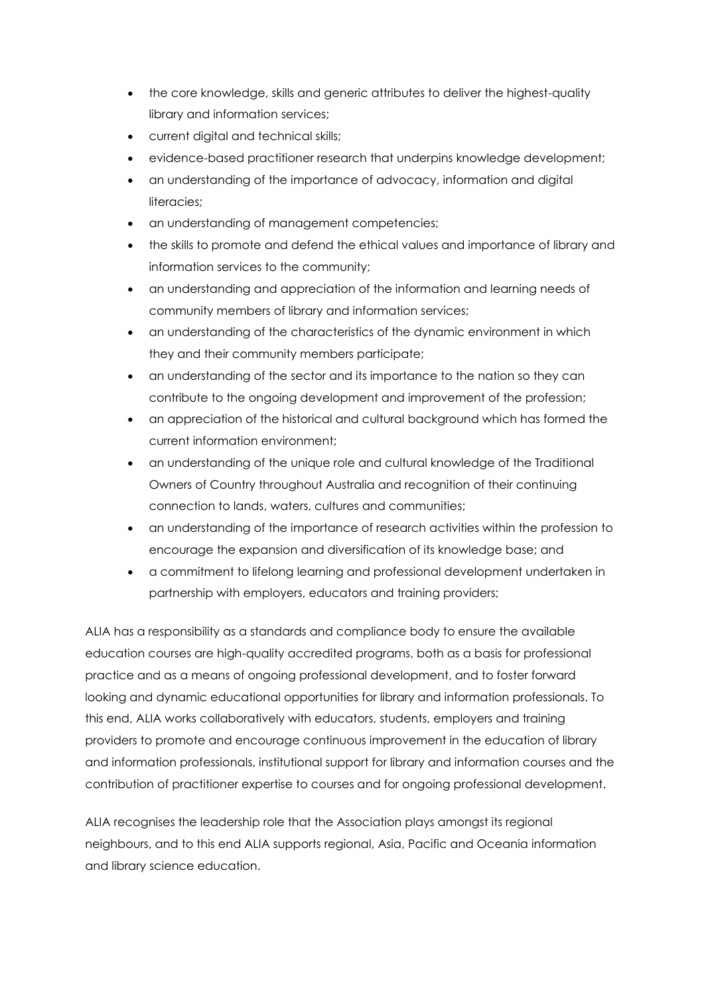- the core knowledge, skills and generic attributes to deliver the highest-quality library and information services;
- current digital and technical skills;
- evidence-based practitioner research that underpins knowledge development;
- an understanding of the importance of advocacy, information and digital literacies;
- an understanding of management competencies;
- the skills to promote and defend the ethical values and importance of library and information services to the community;
- an understanding and appreciation of the information and learning needs of community members of library and information services;
- an understanding of the characteristics of the dynamic environment in which they and their community members participate;
- an understanding of the sector and its importance to the nation so they can contribute to the ongoing development and improvement of the profession;
- an appreciation of the historical and cultural background which has formed the current information environment;
- an understanding of the unique role and cultural knowledge of the Traditional Owners of Country throughout Australia and recognition of their continuing connection to lands, waters, cultures and communities;
- an understanding of the importance of research activities within the profession to encourage the expansion and diversification of its knowledge base; and
- a commitment to lifelong learning and professional development undertaken in partnership with employers, educators and training providers;

ALIA has a responsibility as a standards and compliance body to ensure the available education courses are high-quality accredited programs, both as a basis for professional practice and as a means of ongoing professional development, and to foster forward looking and dynamic educational opportunities for library and information professionals. To this end, ALIA works collaboratively with educators, students, employers and training providers to promote and encourage continuous improvement in the education of library and information professionals, institutional support for library and information courses and the contribution of practitioner expertise to courses and for ongoing professional development.

ALIA recognises the leadership role that the Association plays amongst its regional neighbours, and to this end ALIA supports regional, Asia, Pacific and Oceania information and library science education.